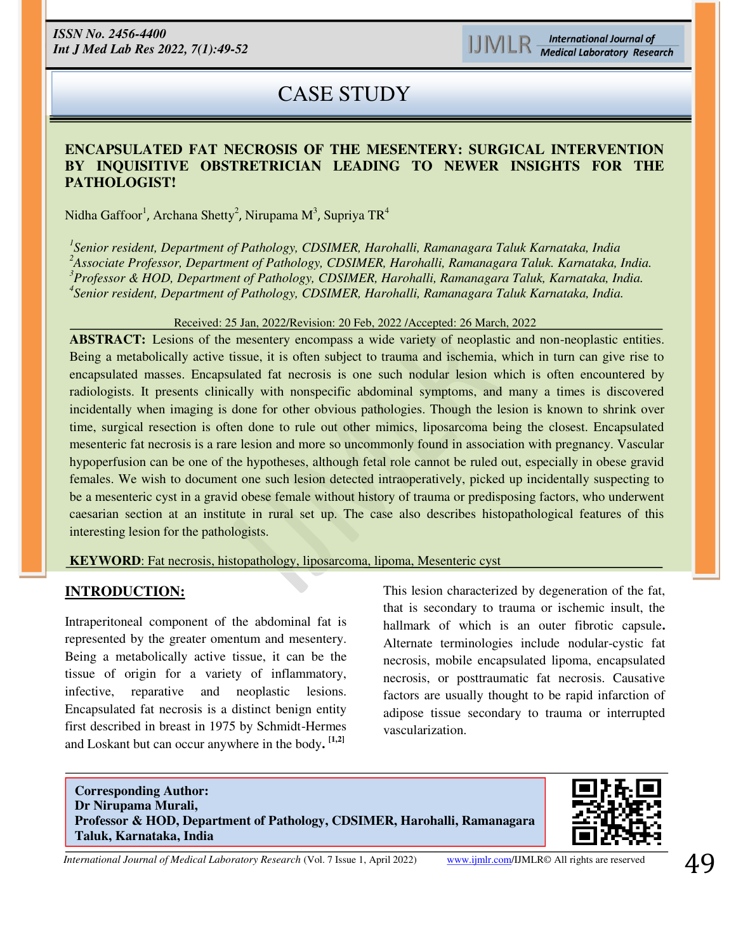# CASE STUDY

### **ENCAPSULATED FAT NECROSIS OF THE MESENTERY: SURGICAL INTERVENTION BY INQUISITIVE OBSTRETRICIAN LEADING TO NEWER INSIGHTS FOR THE PATHOLOGIST!**

Nidha Gaffoor<sup>1</sup>, Archana Shetty<sup>2</sup>, Nirupama M<sup>3</sup>, Supriya TR<sup>4</sup>

 *Senior resident, Department of Pathology, CDSIMER, Harohalli, Ramanagara Taluk Karnataka, India Associate Professor, Department of Pathology, CDSIMER, Harohalli, Ramanagara Taluk. Karnataka, India. Professor & HOD, Department of Pathology, CDSIMER, Harohalli, Ramanagara Taluk, Karnataka, India. Senior resident, Department of Pathology, CDSIMER, Harohalli, Ramanagara Taluk Karnataka, India.* 

#### Received: 25 Jan, 2022/Revision: 20 Feb, 2022 /Accepted: 26 March, 2022

**ABSTRACT:** Lesions of the mesentery encompass a wide variety of neoplastic and non-neoplastic entities. Being a metabolically active tissue, it is often subject to trauma and ischemia, which in turn can give rise to encapsulated masses. Encapsulated fat necrosis is one such nodular lesion which is often encountered by radiologists. It presents clinically with nonspecific abdominal symptoms, and many a times is discovered incidentally when imaging is done for other obvious pathologies. Though the lesion is known to shrink over time, surgical resection is often done to rule out other mimics, liposarcoma being the closest. Encapsulated mesenteric fat necrosis is a rare lesion and more so uncommonly found in association with pregnancy. Vascular hypoperfusion can be one of the hypotheses, although fetal role cannot be ruled out, especially in obese gravid females. We wish to document one such lesion detected intraoperatively, picked up incidentally suspecting to be a mesenteric cyst in a gravid obese female without history of trauma or predisposing factors, who underwent caesarian section at an institute in rural set up. The case also describes histopathological features of this interesting lesion for the pathologists.

**KEYWORD**: Fat necrosis, histopathology, liposarcoma, lipoma, Mesenteric cyst

#### **INTRODUCTION:**

Intraperitoneal component of the abdominal fat is represented by the greater omentum and mesentery. Being a metabolically active tissue, it can be the tissue of origin for a variety of inflammatory, infective, reparative and neoplastic lesions. Encapsulated fat necrosis is a distinct benign entity first described in breast in 1975 by Schmidt-Hermes and Loskant but can occur anywhere in the body**. [1,2]**

This lesion characterized by degeneration of the fat, that is secondary to trauma or ischemic insult, the hallmark of which is an outer fibrotic capsule**.**  Alternate terminologies include nodular-cystic fat necrosis, mobile encapsulated lipoma, encapsulated necrosis, or posttraumatic fat necrosis. Causative factors are usually thought to be rapid infarction of adipose tissue secondary to trauma or interrupted vascularization.

İ **Corresponding Author: Dr Nirupama Murali, Professor & HOD, Department of Pathology, CDSIMER, Harohalli, Ramanagara Taluk, Karnataka, India** 



*International Journal of Medical Laboratory Research* (Vol. 7 Issue 1, April 2022) [www.ijmlr.com/](https://www.ijmlr.com/)IJMLR© All rights are reserved 49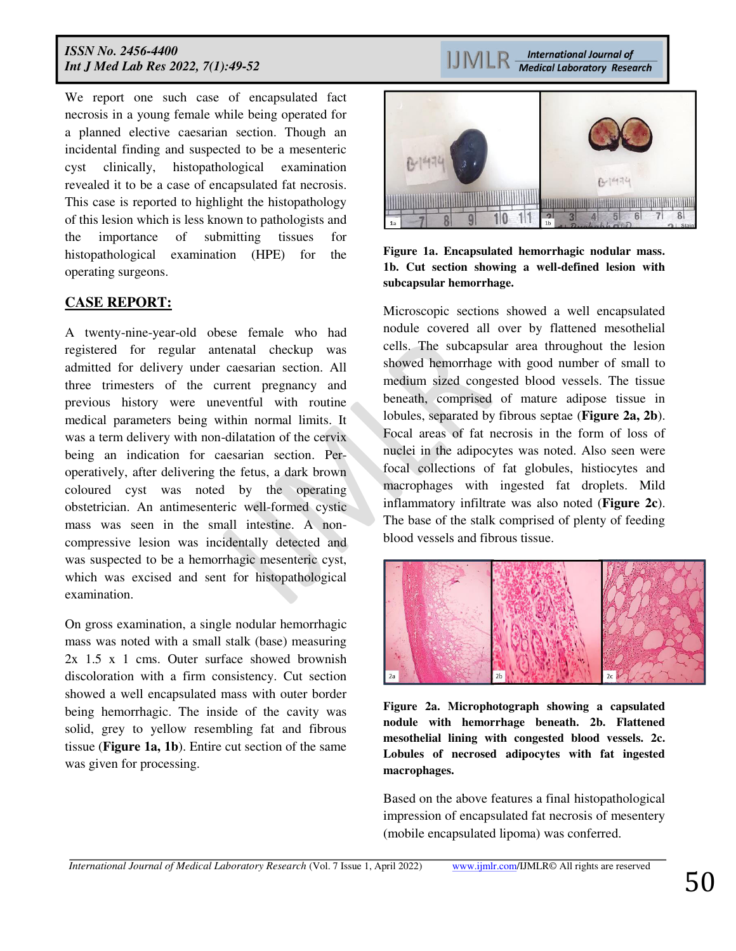We report one such case of encapsulated fact necrosis in a young female while being operated for a planned elective caesarian section. Though an incidental finding and suspected to be a mesenteric cyst clinically, histopathological examination revealed it to be a case of encapsulated fat necrosis. This case is reported to highlight the histopathology of this lesion which is less known to pathologists and the importance of submitting tissues for histopathological examination (HPE) for the operating surgeons.

### **CASE REPORT:**

A twenty-nine-year-old obese female who had registered for regular antenatal checkup was admitted for delivery under caesarian section. All three trimesters of the current pregnancy and previous history were uneventful with routine medical parameters being within normal limits. It was a term delivery with non-dilatation of the cervix being an indication for caesarian section. Peroperatively, after delivering the fetus, a dark brown coloured cyst was noted by the operating obstetrician. An antimesenteric well-formed cystic mass was seen in the small intestine. A noncompressive lesion was incidentally detected and was suspected to be a hemorrhagic mesenteric cyst, which was excised and sent for histopathological examination.

On gross examination, a single nodular hemorrhagic mass was noted with a small stalk (base) measuring 2x 1.5 x 1 cms. Outer surface showed brownish discoloration with a firm consistency. Cut section showed a well encapsulated mass with outer border being hemorrhagic. The inside of the cavity was solid, grey to yellow resembling fat and fibrous tissue (**Figure 1a, 1b**). Entire cut section of the same was given for processing.

**International Journal of IJMLR Medical Laboratory Research** 



**Figure 1a. Encapsulated hemorrhagic nodular mass. 1b. Cut section showing a well-defined lesion with subcapsular hemorrhage.**

Microscopic sections showed a well encapsulated nodule covered all over by flattened mesothelial cells. The subcapsular area throughout the lesion showed hemorrhage with good number of small to medium sized congested blood vessels. The tissue beneath, comprised of mature adipose tissue in lobules, separated by fibrous septae (**Figure 2a, 2b**). Focal areas of fat necrosis in the form of loss of nuclei in the adipocytes was noted. Also seen were focal collections of fat globules, histiocytes and macrophages with ingested fat droplets. Mild inflammatory infiltrate was also noted (**Figure 2c**). The base of the stalk comprised of plenty of feeding blood vessels and fibrous tissue.



**Figure 2a. Microphotograph showing a capsulated nodule with hemorrhage beneath. 2b. Flattened mesothelial lining with congested blood vessels. 2c. Lobules of necrosed adipocytes with fat ingested macrophages.** 

Based on the above features a final histopathological impression of encapsulated fat necrosis of mesentery (mobile encapsulated lipoma) was conferred.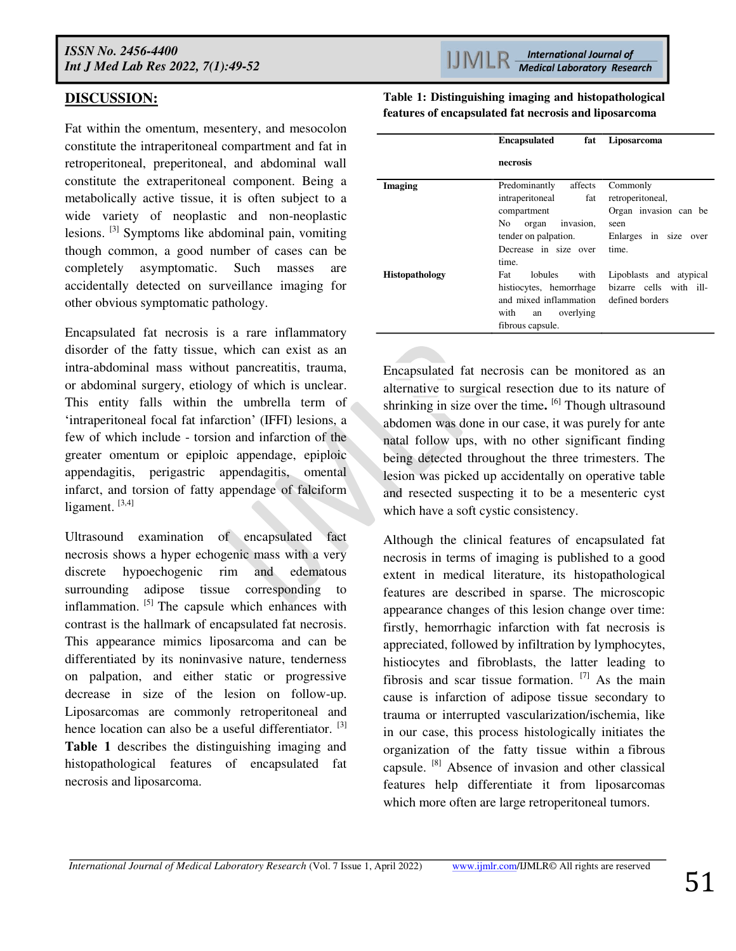## **DISCUSSION:**

Fat within the omentum, mesentery, and mesocolon constitute the intraperitoneal compartment and fat in retroperitoneal, preperitoneal, and abdominal wall constitute the extraperitoneal component. Being a metabolically active tissue, it is often subject to a wide variety of neoplastic and non-neoplastic lesions. [3] Symptoms like abdominal pain, vomiting though common, a good number of cases can be completely asymptomatic. Such masses are accidentally detected on surveillance imaging for other obvious symptomatic pathology.

Encapsulated fat necrosis is a rare inflammatory disorder of the fatty tissue, which can exist as an intra-abdominal mass without pancreatitis, trauma, or abdominal surgery, etiology of which is unclear. This entity falls within the umbrella term of 'intraperitoneal focal fat infarction' (IFFI) lesions, a few of which include - torsion and infarction of the greater omentum or epiploic appendage, epiploic appendagitis, perigastric appendagitis, omental infarct, and torsion of fatty appendage of falciform ligament.  $[3,4]$ 

Ultrasound examination of encapsulated fact necrosis shows a hyper echogenic mass with a very discrete hypoechogenic rim and edematous surrounding adipose tissue corresponding to inflammation.  $[5]$  The capsule which enhances with contrast is the hallmark of encapsulated fat necrosis. This appearance mimics liposarcoma and can be differentiated by its noninvasive nature, tenderness on palpation, and either static or progressive decrease in size of the lesion on follow-up. Liposarcomas are commonly retroperitoneal and hence location can also be a useful differentiator. <sup>[3]</sup> **Table 1** describes the distinguishing imaging and histopathological features of encapsulated fat necrosis and liposarcoma.

**Table 1: Distinguishing imaging and histopathological features of encapsulated fat necrosis and liposarcoma** 

|                       | <b>Encapsulated</b><br>fat | Liposarcoma             |
|-----------------------|----------------------------|-------------------------|
|                       | necrosis                   |                         |
| Imaging               | Predominantly<br>affects   | Commonly                |
|                       | intraperitoneal<br>fat     | retroperitoneal,        |
|                       | compartment                | Organ invasion can be   |
|                       | No<br>organ invasion,      | seen                    |
|                       | tender on palpation.       | Enlarges in size over   |
|                       | Decrease in size over      | time.                   |
|                       | time.                      |                         |
| <b>Histopathology</b> | lobules<br>with<br>Fat     | Lipoblasts and atypical |
|                       | histiocytes, hemorrhage    | bizarre cells with ill- |
|                       | and mixed inflammation     | defined borders         |
|                       | with<br>overlying<br>an    |                         |
|                       | fibrous capsule.           |                         |

Encapsulated fat necrosis can be monitored as an alternative to surgical resection due to its nature of shrinking in size over the time**.**  [6] Though ultrasound abdomen was done in our case, it was purely for ante natal follow ups, with no other significant finding being detected throughout the three trimesters. The lesion was picked up accidentally on operative table and resected suspecting it to be a mesenteric cyst which have a soft cystic consistency.

Although the clinical features of encapsulated fat necrosis in terms of imaging is published to a good extent in medical literature, its histopathological features are described in sparse. The microscopic appearance changes of this lesion change over time: firstly, hemorrhagic infarction with fat necrosis is appreciated, followed by infiltration by lymphocytes, histiocytes and fibroblasts, the latter leading to fibrosis and scar tissue formation.  $[7]$  As the main cause is infarction of adipose tissue secondary to trauma or interrupted vascularization/ischemia, like in our case, this process histologically initiates the organization of the fatty tissue within a fibrous capsule. [8] Absence of invasion and other classical features help differentiate it from liposarcomas which more often are large retroperitoneal tumors.